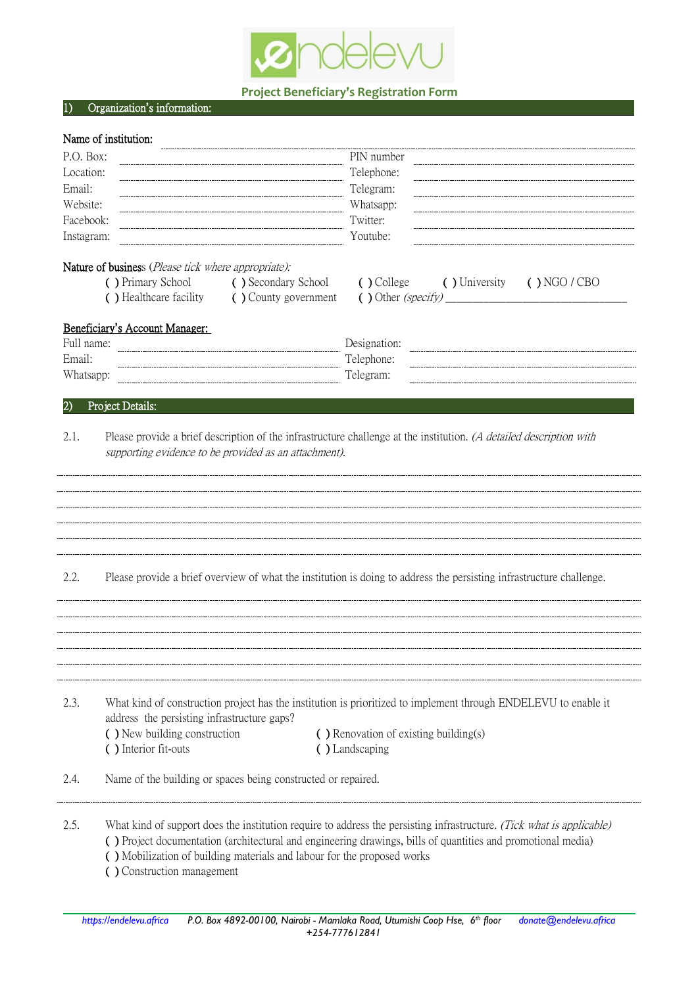

## **Project Beneficiary's Registration Form**

### 1) Organization**'**s information:

# Name of institution:

| P.O. Box:           |                                                                                                   | PIN number                                                                                                            |
|---------------------|---------------------------------------------------------------------------------------------------|-----------------------------------------------------------------------------------------------------------------------|
| Location:<br>Email: |                                                                                                   | Telephone:                                                                                                            |
| Website:            |                                                                                                   | Telegram:<br>Whatsapp:                                                                                                |
| Facebook:           |                                                                                                   | Twitter:                                                                                                              |
| Instagram:          |                                                                                                   | Youtube:                                                                                                              |
|                     |                                                                                                   |                                                                                                                       |
|                     | Nature of business (Please tick where appropriate):<br>( ) Primary School<br>( ) Secondary School | ( ) College<br>( ) University<br>( ) NGO / CBO                                                                        |
|                     | () Healthcare facility<br>( ) County government                                                   | $\left( \right)$ Other (specify)                                                                                      |
|                     | Beneficiary's Account Manager:                                                                    |                                                                                                                       |
| Full name:          |                                                                                                   | Designation:                                                                                                          |
| Email:              |                                                                                                   | Telephone:                                                                                                            |
| Whatsapp:           |                                                                                                   | Telegram:                                                                                                             |
| 2)                  | Project Details:                                                                                  |                                                                                                                       |
|                     |                                                                                                   |                                                                                                                       |
| 2.1.                | supporting evidence to be provided as an attachment).                                             | Please provide a brief description of the infrastructure challenge at the institution. (A detailed description with   |
|                     |                                                                                                   |                                                                                                                       |
|                     |                                                                                                   |                                                                                                                       |
|                     |                                                                                                   |                                                                                                                       |
|                     |                                                                                                   |                                                                                                                       |
|                     |                                                                                                   |                                                                                                                       |
|                     |                                                                                                   |                                                                                                                       |
| 2.2.                |                                                                                                   | Please provide a brief overview of what the institution is doing to address the persisting infrastructure challenge.  |
|                     |                                                                                                   |                                                                                                                       |
|                     |                                                                                                   |                                                                                                                       |
|                     |                                                                                                   |                                                                                                                       |
|                     |                                                                                                   |                                                                                                                       |
|                     |                                                                                                   |                                                                                                                       |
| 2.3.                |                                                                                                   | What kind of construction project has the institution is prioritized to implement through ENDELEVU to enable it       |
|                     | address the persisting infrastructure gaps?                                                       |                                                                                                                       |
|                     | () New building construction<br>() Interior fit-outs                                              | () Renovation of existing building(s)<br>() Landscaping                                                               |
|                     |                                                                                                   |                                                                                                                       |
| 2.4.                | Name of the building or spaces being constructed or repaired.                                     |                                                                                                                       |
|                     |                                                                                                   |                                                                                                                       |
| 2.5.                |                                                                                                   | What kind of support does the institution require to address the persisting infrastructure. (Tick what is applicable) |
|                     |                                                                                                   | (c) Project documentation (architectural and engineering drawings, bills of quantities and promotional media)         |
|                     | () Mobilization of building materials and labour for the proposed works                           |                                                                                                                       |
|                     | () Construction management                                                                        |                                                                                                                       |